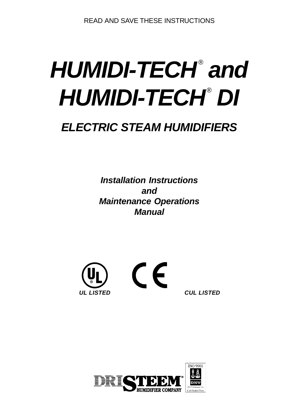# HUMIDI-TECH<sup>®</sup> and HUMIDI-TECH<sup>®</sup> DI

# *ELECTRIC STEAM HUMIDIFIERS*

*Installation Instructions and Maintenance Operations Manual*



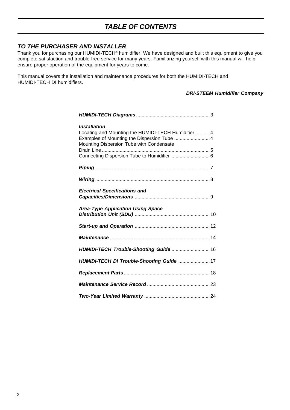# *TABLE OF CONTENTS*

#### *TO THE PURCHASER AND INSTALLER*

Thank you for purchasing our HUMIDI-TECH® humidifier. We have designed and built this equipment to give you complete satisfaction and trouble-free service for many years. Familiarizing yourself with this manual will help ensure proper operation of the equipment for years to come.

This manual covers the installation and maintenance procedures for both the HUMIDI-TECH and HUMIDI-TECH DI humidifiers.

#### *DRI-STEEM Humidifier Company*

| <b>Installation</b><br>Locating and Mounting the HUMIDI-TECH Humidifier  4<br>Examples of Mounting the Dispersion Tube  4<br>Mounting Dispersion Tube with Condensate<br>Connecting Dispersion Tube to Humidifier  6 |
|----------------------------------------------------------------------------------------------------------------------------------------------------------------------------------------------------------------------|
|                                                                                                                                                                                                                      |
|                                                                                                                                                                                                                      |
| <b>Electrical Specifications and</b>                                                                                                                                                                                 |
| <b>Area-Type Application Using Space</b>                                                                                                                                                                             |
|                                                                                                                                                                                                                      |
|                                                                                                                                                                                                                      |
| HUMIDI-TECH Trouble-Shooting Guide  16                                                                                                                                                                               |
| HUMIDI-TECH DI Trouble-Shooting Guide  17                                                                                                                                                                            |
|                                                                                                                                                                                                                      |
|                                                                                                                                                                                                                      |
|                                                                                                                                                                                                                      |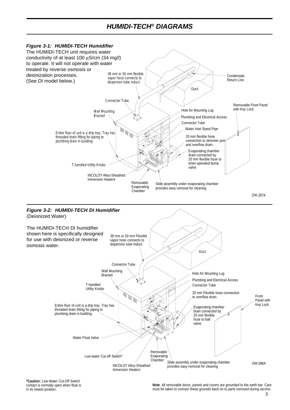## *HUMIDI-TECH® DIAGRAMS*



**\*Caution:** Low-Water Cut-Off Switch contact is normally open when float is in its lowest position.

**Note**: All removable doors, panels and covers are grounded to the earth bar. Care must be taken to connect these grounds back on to parts removed during service.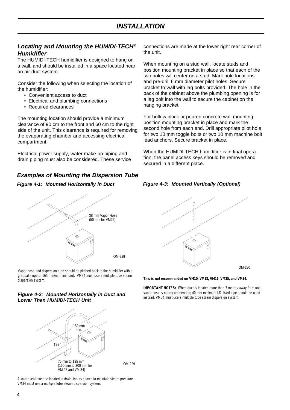#### *Locating and Mounting the HUMIDI-TECH® Humidifier*

The HUMIDI-TECH humidifier is designed to hang on a wall, and should be installed in a space located near an air duct system.

Consider the following when selecting the location of the humidifier:

- Convenient access to duct
- Electrical and plumbing connections
- Required clearances

The mounting location should provide a minimum clearance of 90 cm to the front and 60 cm to the right side of the unit. This clearance is required for removing the evaporating chamber and accessing electrical compartment.

Electrical power supply, water make-up piping and drain piping must also be considered. These service

#### *Examples of Mounting the Dispersion Tube*

#### *Figure 4-1: Mounted Horizontally in Duct*



Vapor hose and dispersion tube should be pitched back to the humidifier with a gradual slope of 165 mm/m (minimum). VM34 must use a multiple tube steam dispersion system.

#### *Figure 4-2: Mounted Horizontally in Duct and Lower Than HUMIDI-TECH Unit*



A water seal must be located in drain line as shown to maintain steam pressure. VM34 must use a multiple tube steam dispersion system.

connections are made at the lower right rear corner of the unit.

When mounting on a stud wall, locate studs and position mounting bracket in place so that each of the two holes will center on a stud. Mark hole locations and pre-drill 6 mm diameter pilot holes. Secure bracket to wall with lag bolts provided. The hole in the back of the cabinet above the plumbing opening is for a lag bolt into the wall to secure the cabinet on the hanging bracket.

For hollow block or poured concrete wall mounting, position mounting bracket in place and mark the second hole from each end. Drill appropriate pilot hole for two 10 mm toggle bolts or two 10 mm machine bolt lead anchors. Secure bracket in place.

When the HUMIDI-TECH humidifier is in final operation, the panel access keys should be removed and secured in a different place.





*This is not recommended on VM10, VM12, VM16, VM25, and VM34.*

*IMPORTANT NOTES:* When duct is located more than 3 metres away from unit, vapor hose is not recommended; 40 mm minimum I.D. hard pipe should be used instead. VM34 must use a multiple tube steam dispersion system.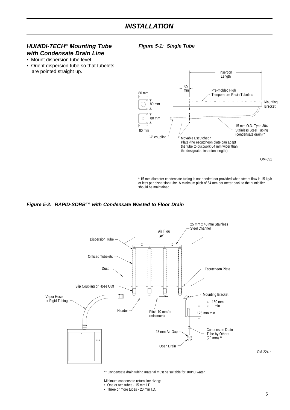#### *HUMIDI-TECH® Mounting Tube with Condensate Drain Line*

*Figure 5-1: Single Tube*

- Mount dispersion tube level.
- Orient dispersion tube so that tubelets are pointed straight up.



**\*** 15 mm diameter condensate tubing is not needed nor provided when steam flow is 15 kg/h or less per dispersion tube. A minimum pitch of 64 mm per meter back to the humidifier should be maintained.

#### *Figure 5-2: RAPID-SORB™ with Condensate Wasted to Floor Drain*



\*\* Condensate drain tubing material must be suitable for 100°C water.

Minimum condensate return line sizing: • One or two tubes - 15 mm I.D.

• Three or more tubes - 20 mm I.D.

OM-224-r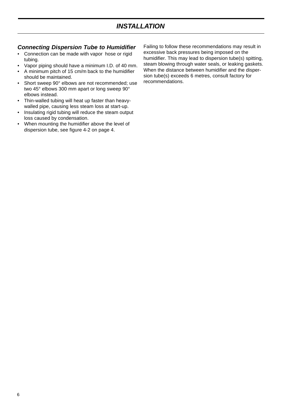# *INSTALLATION*

#### *Connecting Dispersion Tube to Humidifier*

- Connection can be made with vapor hose or rigid tubing.
- Vapor piping should have a minimum I.D. of 40 mm.
- A minimum pitch of 15 cm/m back to the humidifier should be maintained.
- Short sweep 90° elbows are not recommended; use two 45° elbows 300 mm apart or long sweep 90° elbows instead.
- Thin-walled tubing will heat up faster than heavywalled pipe, causing less steam loss at start-up.
- Insulating rigid tubing will reduce the steam output loss caused by condensation.
- When mounting the humidifier above the level of dispersion tube, see figure 4-2 on page 4.

Failing to follow these recommendations may result in excessive back pressures being imposed on the humidifier. This may lead to dispersion tube(s) spitting, steam blowing through water seals, or leaking gaskets. When the distance between humidifier and the dispersion tube(s) exceeds 6 metres, consult factory for recommendations.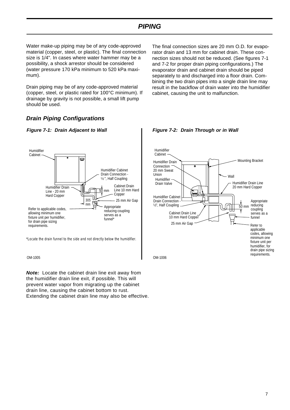Water make-up piping may be of any code-approved material (copper, steel, or plastic). The final connection size is 1/4". In cases where water hammer may be a possibility, a shock arrestor should be considered (water pressure 170 kPa minimum to 520 kPa maximum).

Drain piping may be of any code-approved material (copper, steel, or plastic rated for 100°C minimum). If drainage by gravity is not possible, a small lift pump should be used.

The final connection sizes are 20 mm O.D. for evaporator drain and 13 mm for cabinet drain. These connection sizes should not be reduced. (See figures 7-1 and 7-2 for proper drain piping configurations.) The evaporator drain and cabinet drain should be piped separately to and discharged into a floor drain. Combining the two drain pipes into a single drain line may result in the backflow of drain water into the humidifier cabinet, causing the unit to malfunction.

#### *Drain Piping Configurations*



\*Locate the drain funnel to the side and not directly below the humidifier.

OM-1005

*Note:* Locate the cabinet drain line exit away from the humidifier drain line exit, if possible. This will prevent water vapor from migrating up the cabinet drain line, causing the cabinet bottom to rust. Extending the cabinet drain line may also be effective.



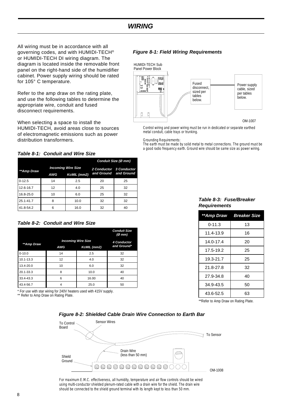# *WIRING*

All wiring must be in accordance with all governing codes, and with HUMIDI-TECH® or HUMIDI-TECH DI wiring diagram. The diagram is located inside the removable front panel on the right-hand side of the humidifier cabinet. Power supply wiring should be rated for 105° C temperature.

Refer to the amp draw on the rating plate, and use the following tables to determine the appropriate wire, conduit and fused disconnect requirements.

When selecting a space to install the HUMIDI-TECH, avoid areas close to sources of electromagnetic emissions such as power distribution transformers.

#### *Figure 8-1: Field Wiring Requirements*



Control wiring and power wiring must be run in dedicated or separate earthed metal conduit, cable trays or trunking.

Grounding Requirements:

The earth must be made by solid metal to metal connections. The ground must be a good radio frequency earth. Ground wire should be same size as power wiring.

#### *Table 8-1: Conduit and Wire Size*

|            |            |                           |                       | Conduit Size (Ø mm)     |  |
|------------|------------|---------------------------|-----------------------|-------------------------|--|
| **Amp Draw |            | <b>Incoming Wire Size</b> |                       | 2 Conductor 3 Conductor |  |
|            | <b>AWG</b> | KcMIL (mm2)               | and Ground and Ground |                         |  |
| $0 - 12.5$ | 14         | 2.5                       | 20                    | 25                      |  |
| 12.6-16.7  | 12         | 4.0                       | 25                    | 32                      |  |
| 16.8-25.0  | 10         | 6.0                       | 25                    | 32                      |  |
| 25.1-41.7  | 8          | 10.0                      | 32                    | 32                      |  |
| 41.8-54.2  | 6          | 16.0                      | 32                    | 40                      |  |

#### *Table 8-2: Conduit and Wire Size*

|               |            |                           | <b>Conduit Size</b><br>(Ø~mm) |  |  |  |
|---------------|------------|---------------------------|-------------------------------|--|--|--|
|               |            | <b>Incoming Wire Size</b> |                               |  |  |  |
| **Amp Draw    | <b>AWG</b> | KcMIL (mm2)               | and Ground*                   |  |  |  |
| $0 - 10.0$    | 14         | 2.5                       | 32                            |  |  |  |
| $10.1 - 13.3$ | 12         | 4.0                       | 32                            |  |  |  |
| 13.4-20.0     | 10         | 6.0                       | 32                            |  |  |  |
| 20.1-33.3     | 8          | 10.0                      | 40                            |  |  |  |
| 33.4-43.3     | 6          | 16.00                     | 40                            |  |  |  |
| 43.4-56.7     |            | 25.0                      | 50                            |  |  |  |

\* For use with star wiring for 240V heaters used with 415V supply.

\*\* Refer to Amp Draw on Rating Plate.

#### *Table 8-3: Fuse/Breaker Requirements*

|            | **Amp Draw Breaker Size |
|------------|-------------------------|
| $0 - 11.3$ | 13                      |
| 11.4-13.9  | 16                      |
| 14.0-17.4  | 20                      |
| 17.5-19.2  | 25                      |
| 19.3-21.7  | 25                      |
| 21.8-27.8  | 32                      |
| 27.9-34.8  | 40                      |
| 34.9-43.5  | 50                      |
| 43.6-52.5  | 63                      |

\*\*Refer to Amp Draw on Rating Plate.

#### *Figure 8-2: Shielded Cable Drain Wire Connection to Earth Bar*



For maximum E.M.C. effectiveness, all humidity, temperature and air flow controls should be wired using multi-conductor shielded plenum-rated cable with a drain wire for the shield. The drain wire should be connected to the shield ground terminal with its length kept to less than 50 mm.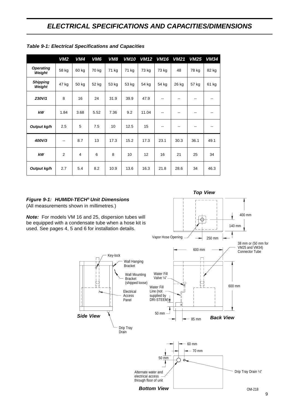|                           | VM2   | VM4            | VM <sub>6</sub> | <b>VM8</b> | <b>VM10</b> | <b>VM12</b> | <b>VM16</b>              | <b>VM21</b> | <b>VM25</b> | <b>VM34</b>       |
|---------------------------|-------|----------------|-----------------|------------|-------------|-------------|--------------------------|-------------|-------------|-------------------|
| Operating<br>Weight       | 58 kg | 60 kg          | 70 kg           | 71 kg      | 71 kg       | 73 kg       | 73 kg                    | 48          | 78 kg       | 82 kg             |
| <b>Shipping</b><br>Weight | 47 kg | 50 kg          | 52 kg           | 53 kg      | 53 kg       | 54 kg       | 54 kg                    | 26 kg       | 57 kg       | 61 kg             |
| 230V/1                    | 8     | 16             | 24              | 31.9       | 39.9        | 47.9        | $\overline{\phantom{a}}$ | $-$         | $-$         | $\sim$ $\sim$     |
| kW                        | 1.84  | 3.68           | 5.52            | 7.36       | 9.2         | 11.04       | --                       |             |             | $\qquad \qquad -$ |
| Output kg/h               | 2.5   | 5              | 7.5             | 10         | 12.5        | 15          | --                       | --          | --          | $-$               |
| 400V/3                    | --    | 8.7            | 13              | 17.3       | 15.2        | 17.3        | 23.1                     | 30.3        | 36.1        | 49.1              |
| kW                        | 2     | $\overline{4}$ | 6               | 8          | 10          | 12          | 16                       | 21          | 25          | 34                |
| Output kg/h               | 2.7   | 5.4            | 8.2             | 10.9       | 13.6        | 16.3        | 21.8                     | 28.6        | 34          | 46.3              |

*Table 9-1: Electrical Specifications and Capacities*

#### *Figure 9-1: HUMIDI-TECH® Unit Dimensions*

(All measurements shown in millimetres.)

*Note:* For models VM 16 and 25, dispersion tubes will be equipped with a condensate tube when a hose kit is used. See pages 4, 5 and 6 for installation details.



*Top View*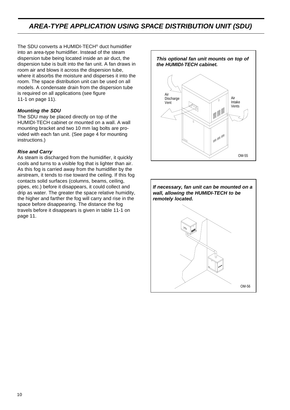# *AREA-TYPE APPLICATION USING SPACE DISTRIBUTION UNIT (SDU)*

The SDU converts a HUMIDI-TECH® duct humidifier into an area-type humidifier. Instead of the steam dispersion tube being located inside an air duct, the dispersion tube is built into the fan unit. A fan draws in room air and blows it across the dispersion tube, where it absorbs the moisture and disperses it into the room. The space distribution unit can be used on all models. A condensate drain from the dispersion tube is required on all applications (see figure 11-1 on page 11).

#### *Mounting the SDU*

The SDU may be placed directly on top of the HUMIDI-TECH cabinet or mounted on a wall. A wall mounting bracket and two 10 mm lag bolts are provided with each fan unit. (See page 4 for mounting instructions.)

#### *Rise and Carry*

As steam is discharged from the humidifier, it quickly cools and turns to a visible fog that is lighter than air. As this fog is carried away from the humidifier by the airstream, it tends to rise toward the ceiling. If this fog contacts solid surfaces (columns, beams, ceiling, pipes, etc.) before it disappears, it could collect and drip as water. The greater the space relative humidity, the higher and farther the fog will carry and rise in the space before disappearing. The distance the fog travels before it disappears is given in table 11-1 on page 11.



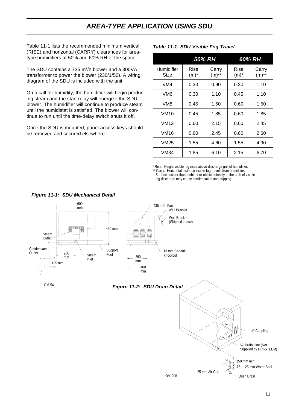# *AREA-TYPE APPLICATION USING SDU*

Table 11-1 lists the recommended minimum vertical (RISE) and horizontal (CARRY) clearances for areatype humidifiers at 50% and 60% RH of the space.

The SDU contains a 735 m<sup>3</sup>/h blower and a 300VA transformer to power the blower (230/1/50). A wiring diagram of the SDU is included with the unit.

On a call for humidity, the humidifier will begin producing steam and the start relay will energize the SDU blower. The humidifier will continue to produce steam until the humidistat is satisfied. The blower will continue to run until the time-delay switch shuts it off.

Once the SDU is mounted, panel access keys should be removed and secured elsewhere.

#### *50% RH 60% RH* Humidifier Size Rise  $(m)^*$ Carry  $(m)$ \*\* Rise  $(m)^*$ Carry  $(m)$ \*\* VM4 | 0.30 | 0.90 | 0.30 | 1.10 VM6 | 0.30 | 1.10 | 0.45 | 1.10 VM8 | 0.45 | 1.50 | 0.60 | 1.50 VM10 0.45 1.85 0.60 1.85 VM12 | 0.60 | 2.15 | 0.60 | 2.45 VM16 | 0.60 | 2.45 | 0.60 | 2.60 VM25 | 1.55 | 4.60 | 1.55 | 4.90 VM34 | 1.85 | 6.10 | 2.15 | 6.70

#### *Table 11-1: SDU Visible Fog Travel*

\* Rise: Height visible fog rises above discharge grill of humidifier.

\*\* Carry: Horizontal distance visible fog travels from humidifier. Surfaces cooler than ambient or objects directly in the path of visible fog discharge may cause condensation and dripping.

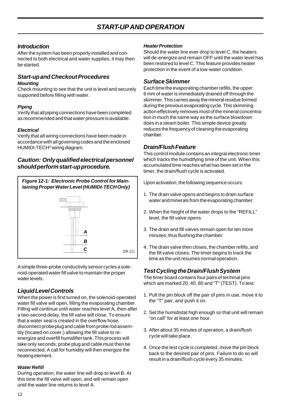#### *Introduction*

After the system has been properly installed and connected to both electrical and water supplies, it may then be started.

#### *Start-up and Checkout Procedures Mounting*

Check mounting to see that the unit is level and securely supported before filling with water.

#### *Piping*

Verify that all piping connections have been completed as recommended and that water pressure is available.

#### *Electrical*

Verify that all wiring connections have been made in accordance with all governing codes and the enclosed HUMIDI-TECH® wiring diagram.

#### *Caution: Only qualified electrical personnel should perform start-up procedure.*



A simple three-probe conductivity sensor cycles a solenoid-operated water fill valve to maintain the proper water levels.

#### *Liquid Level Controls*

When the power is first turned on, the solenoid-operated water fill valve will open, filling the evaporating chamber. Filling will continue until water reaches level A, then after a two-second delay, the fill valve will close. To ensure that a water seal is created in the overflow hose, disconnect probe plug and cable from probe rod assembly (located on cover,) allowing the fill valve to reenergize and overfill humidifier tank. This process will take only seconds; probe plug and cable must then be reconnected. A call for humidity will then energize the heating element.

#### *Water Refill*

During operation, the water line will drop to level B. At this time the fill valve will open, and will remain open until the water line returns to level A.

#### *Heater Protection*

Should the water line ever drop to level C, the heaters will de-energize and remain OFF until the water level has been restored to level C. This feature provides heater protection in the event of a low-water condition.

#### *Surface Skimmer*

Each time the evaporating chamber refills, the upper 6 mm of water is immediately drained off through the skimmer. This carries away the mineral residue formed during the previous evaporating cycle. This skimming action effectively removes most of the mineral concentration in much the same way as the surface blowdown does in a steam boiler. This simple device greatly reduces the frequency of cleaning the evaporating chamber.

#### *Drain/Flush Feature*

This control module contains an integral electronic timer which tracks the humidifying time of the unit. When this accumulated time reaches what has been set in the timer, the drain/flush cycle is activated.

Upon activation, the following sequence occurs:

- 1. The drain valve opens and begins to drain surface water and minerals from the evaporating chamber.
- 2. When the height of the water drops to the "REFILL" level, the fill valve opens.
- 3. The drain and fill valves remain open for ten more minutes, thus flushing the chamber.
- 4. The drain valve then closes, the chamber refills, and the fill valve closes. The timer begins to track the time as the unit resumes normal operation.

#### *Test Cycling the Drain/Flush System*

The timer board contains four pairs of terminal pins which are marked 20, 40, 80 and "T" (TEST). To test:

- 1. Pull the pin block off the pair of pins in use, move it to the "T" pair, and push it on.
- 2. Set the humidistat high enough so that unit will remain "on call" for at least one hour.
- 3. After about 35 minutes of operation, a drain/flush cycle will take place.
- 4. Once the test cycle is completed, move the pin block back to the desired pair of pins. Failure to do so will result in a drain/flush cycle every 35 minutes.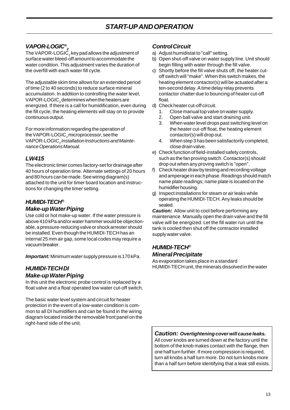#### *VAPOR-LOGIC®*

 $2^2$  The VAPOR-LOGIC<sub>2</sub> key pad allows the adjustment of surface water bleed-off amount to accommodate the water condition. This adjustment varies the duration of the overfill with each water fill cycle.

The adjustable skim time allows for an extended period of time (2 to 40 seconds) to reduce surface mineral accumulation. In addition to controlling the water level, VAPOR-LOGIC $_2$ determines when the heaters are energized. If there is a call for humidification, even during the fill cycle, the heating elements will stay on to provide continuous output.

For more information regarding the operation of the VAPOR-LOGIC $_{\rm _2}$ microprocessor, see the VAPOR-LOGIC, Installation Instructions and Mainte*nance Operations Manual.*

#### *LW415*

The electronic timer comes factory-set for drainage after 40 hours of operation time. Alternate settings of 20 hours and 80 hours can be made. See wiring diagram(s) attached to the unit for timer board location and instructions for changing the timer setting.

#### *HUMIDI-TECH®*

#### *Make-up Water Piping*

Use cold or hot make-up water. If the water pressure is above 410 kPa and/or water hammer would be objectionable, a pressure-reducing valve or shock arrester should be installed. Even though the HUMIDI-TECH has an internal 25 mm air gap, some local codes may require a vacuum breaker.

*Important:* Minimum water supply pressure is 170 kPa.

### *HUMIDI-TECH DI Make-up Water Piping*

In this unit the electronic probe control is replaced by a float valve and a float operated low water cut-off switch.

The basic water level system and circuit for heater protection in the event of a low-water condition is common to all DI humidifiers and can be found in the wiring diagram located inside the removable front panel on the right-hand side of the unit.

#### *Control Circuit*

- a) Adjust humidistat to "call" setting.
- b) Open shut-off valve on water supply line. Unit should begin filling with water through the fill valve.
- c) Shortly before the fill valve shuts off, the heater cutoff switch will "make". When this switch makes, the heating element contactor(s) will be actuated after a ten-second delay. A time delay relay prevents contactor chatter due to bouncing of heater cut-off float.
- d) Check heater cut-off circuit.
	- 1. Close manual top valve on water supply.
	- 2. Open ball valve and start draining unit.
	- 3. When water level drops past switching level on the heater cut-off float, the heating element contactor(s) will drop out.
	- 4. When step 3 has been satisfactorily completed, close drain valve.
- e) Check function of field-installed safety controls, such as the fan proving switch. Contactor(s) should drop out when any proving switch is "open".
- f) Check heater draw by testing and recording voltage and amperage in each phase. Readings should match name plate readings; name plate is located on the humidifier housing.
- g) Inspect installations for steam or air leaks while operating the HUMIDI-TECH. Any leaks should be sealed.

*Caution:* Allow unit to cool before performing any maintenance. Manually open the drain valve and the fill valve will be energized. Let the fill water run until the tank is cooled then shut off the contractor installed supply water valve.

#### *HUMIDI-TECH® Mineral Precipitate*

As evaporation takes place in a standard HUMIDI-TECH unit, the minerals dissolved in the water

*Caution: Overtightening cover will cause leaks.*

All cover knobs are turned down at the factory until the bottom of the knob makes contact with the flange, then one half turn further. If more compression is required, turn all knobs a half turn more. Do not turn knobs more than a half turn before identifying that a leak still exists.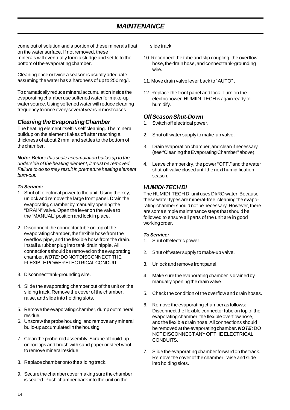# *MAINTENANCE*

come out of solution and a portion of these minerals float on the water surface. If not removed, these minerals will eventually form a sludge and settle to the bottom of the evaporating chamber.

Cleaning once or twice a season is usually adequate, assuming the water has a hardness of up to 250 mg/l.

To dramatically reduce mineral accumulation inside the evaporating chamber use softened water for make-up water source. Using softened water will reduce cleaning frequency to once every several years in most cases.

#### *Cleaning the Evaporating Chamber*

The heating element itself is self cleaning. The mineral buildup on the element flakes off after reaching a thickness of about 2 mm, and settles to the bottom of the chamber.

*Note: Before this scale accumulation builds up to the underside of the heating element, it must be removed. Failure to do so may result in premature heating element burn-out.*

#### *To Service:*

- 1. Shut off electrical power to the unit. Using the key, unlock and remove the large front panel. Drain the evaporating chamber by manually opening the "DRAIN" valve. Open the lever on the valve to the "MANUAL" position and lock in place.
- 2. Disconnect the connector tube on top of the evaporating chamber, the flexible hose from the overflow pipe, and the flexible hose from the drain. Install a rubber plug into tank drain nipple. All connections should be removed on the evaporating chamber. *NOTE:* DO NOT DISCONNECT THE FLEXIBLE POWER ELECTRICAL CONDUIT.
- 3. Disconnect tank-grounding wire.
- 4. Slide the evaporating chamber out of the unit on the sliding track. Remove the cover of the chamber, raise, and slide into holding slots.
- 5. Remove the evaporating chamber, dump out mineral residue.
- 6. Unscrew the probe housing, and remove any mineral build-up accumulated in the housing.
- 7. Clean the probe-rod assembly. Scrape off build-up on rod tips and brush with sand paper or steel wool to remove mineral residue.
- 8. Replace chamber onto the sliding track.
- 9. Secure the chamber cover making sure the chamber is sealed. Push chamber back into the unit on the

slide track.

- 10. Reconnect the tube and slip coupling, the overflow hose, the drain hose, and connect tank-grounding wire.
- 11. Move drain valve lever back to "AUTO" .
- 12. Replace the front panel and lock. Turn on the electric power. HUMIDI-TECH is again ready to humidify.

#### *Off Season Shut-Down*

- 1. Switch off electrical power.
- 2. Shut off water supply to make-up valve.
- 3. Drain evaporation chamber, and clean if necessary (see "Cleaning the Evaporating Chamber" above).
- 4. Leave chamber dry, the power "OFF," and the water shut-off valve closed until the next humidification season.

#### *HUMIDI-TECH DI*

The HUMIDI-TECH DI unit uses DI/RO water. Because these water types are mineral-free, cleaning the evaporating chamber should not be necessary. However, there are some simple maintenance steps that should be followed to ensure all parts of the unit are in good working order.

#### *To Service:*

- 1. Shut off electric power.
- 2. Shut off water supply to make-up valve.
- 3. Unlock and remove front panel.
- 4. Make sure the evaporating chamber is drained by manually opening the drain valve.
- 5. Check the condition of the overflow and drain hoses.
- 6. Remove the evaporating chamber as follows: Disconnect the flexible connector tube on top of the evaporating chamber, the flexible overflow hose, and the flexible drain hose. All connections should be removed at the evaporating chamber. *NOTE:* DO NOT DISCONNECT ANY OF THE ELECTRICAL CONDUITS.
- 7. Slide the evaporating chamber forward on the track. Remove the cover of the chamber, raise and slide into holding slots.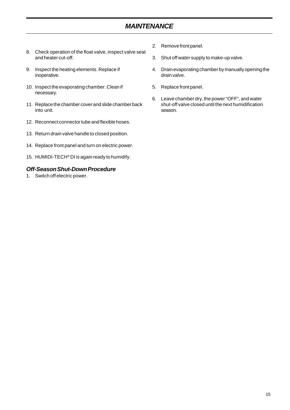# *MAINTENANCE*

- 8. Check operation of the float valve, inspect valve seat and heater cut-off.
- 9. Inspect the heating elements. Replace if inoperative.
- 10. Inspect the evaporating chamber. Clean if necessary.
- 11. Replace the chamber cover and slide chamber back into unit.
- 12. Reconnect connector tube and flexible hoses.
- 13. Return drain valve handle to closed position.
- 14. Replace front panel and turn on electric power.
- 15. HUMIDI-TECH® DI is again ready to humidify.

#### *Off-Season Shut-Down Procedure*

1. Switch off electric power.

- 2. Remove front panel.
- 3. Shut off water supply to make-up valve.
- 4. Drain evaporating chamber by manually opening the drain valve.
- 5. Replace front panel.
- 6. Leave chamber dry, the power "OFF", and water shut-off valve closed until the next humidification season.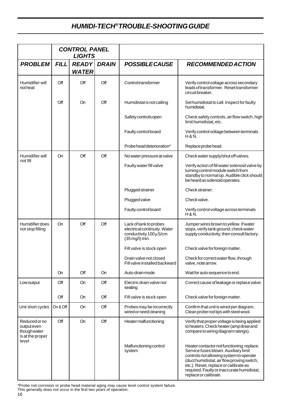# *HUMIDI-TECH®TROUBLE-SHOOTING GUIDE*

|                                                                         | <b>CONTROL PANEL</b><br><b>LIGHTS</b> |                              |              |                                                                                                    |                                                                                                                                                                                                                                                                                             |
|-------------------------------------------------------------------------|---------------------------------------|------------------------------|--------------|----------------------------------------------------------------------------------------------------|---------------------------------------------------------------------------------------------------------------------------------------------------------------------------------------------------------------------------------------------------------------------------------------------|
| <b>PROBLEM</b>                                                          | <b>FILL</b>                           | <b>READY</b><br><b>WATER</b> | <b>DRAIN</b> | <b>POSSIBLE CAUSE</b>                                                                              | <b>RECOMMENDED ACTION</b>                                                                                                                                                                                                                                                                   |
| Humidifier will<br>notheat                                              | Off                                   | Off                          | Off          | Controltransformer                                                                                 | Verify control voltage across secondary<br>leads of transformer. Reset transformer<br>circuitbreaker.                                                                                                                                                                                       |
|                                                                         | Off                                   | <b>On</b>                    | Off          | Humidistat is not calling                                                                          | Set humidistat to call. Inspect for faulty<br>humidistat.                                                                                                                                                                                                                                   |
|                                                                         |                                       |                              |              | Safety controls open                                                                               | Check safety controls, air flow switch, high<br>limit humidistat, etc.                                                                                                                                                                                                                      |
|                                                                         |                                       |                              |              | Faulty control board                                                                               | Verify control voltage between terminals<br>H & N.                                                                                                                                                                                                                                          |
|                                                                         |                                       |                              |              | Probe head deterioration*                                                                          | Replace probe head.                                                                                                                                                                                                                                                                         |
| Humidifier will                                                         | On                                    | Off                          | Off          | No water pressure at valve                                                                         | Check water supply/shut off valves.                                                                                                                                                                                                                                                         |
| not fill                                                                |                                       |                              |              | Faulty water fill valve                                                                            | Verify action of fill water solenoid valve by<br>turning control module switch from<br>standby to normal op. Audible click should<br>be heard as solenoid operates.                                                                                                                         |
|                                                                         |                                       |                              |              | Plugged strainer                                                                                   | Check strainer.                                                                                                                                                                                                                                                                             |
|                                                                         |                                       |                              |              | Plugged valve                                                                                      | Check valve.                                                                                                                                                                                                                                                                                |
|                                                                         |                                       |                              |              | Faulty control board                                                                               | Verify control voltage across terminals<br>H & N.                                                                                                                                                                                                                                           |
| Humidifier does<br>not stop filling                                     | On                                    | Off                          | Off          | Lack of tank to probes<br>electrical continuity. Water<br>conductivity 100 µS/cm<br>(35 mg/l) min. | Jumper wires brown to yellow. If water<br>stops, verify tank ground; check water<br>supply conductivity; then consult factory.                                                                                                                                                              |
|                                                                         |                                       |                              |              | Fill valve is stuck open                                                                           | Check valve for foreign matter.                                                                                                                                                                                                                                                             |
|                                                                         |                                       |                              |              | Drain valve not closed<br>Fill valve installed backward                                            | Check for correct water flow, through<br>valve, note arrow.                                                                                                                                                                                                                                 |
|                                                                         | On                                    | Off                          | On           | Auto-drain mode                                                                                    | Waitfor auto sequence to end.                                                                                                                                                                                                                                                               |
| Low output                                                              | Off                                   | On                           | Off          | Electric drain valve not<br>seating                                                                | Correct cause of leakage or replace valve.                                                                                                                                                                                                                                                  |
|                                                                         | Off                                   | On                           | Off          | Fill valve is stuck open                                                                           | Check valve for foreign matter.                                                                                                                                                                                                                                                             |
| Unit short cycles                                                       | On & Off                              | On                           | Off          | Probes may be incorrectly<br>wired or need cleaning                                                | Confirm that unit is wired per diagram.<br>Clean probe rod tips with steel wool.                                                                                                                                                                                                            |
| Reducedorno<br>output even<br>though water<br>is at the proper<br>level | Off                                   | On                           | Off          | Heater malfunctioning                                                                              | Verify that proper voltage is being applied<br>to heaters. Check heater (amp draw and<br>compare to wiring diagram ratings).                                                                                                                                                                |
|                                                                         |                                       |                              |              | Malfunctioning control<br>system                                                                   | Heater contactor not functioning; replace.<br>Service fuses blown. Auxiliary limit<br>controls not allowing system to operate<br>(duct humidistat, air flow proving switch,<br>etc.). Reset, replace or calibrate as<br>required. Faulty or inaccurate humidistat,<br>replace or calibrate. |

\*Probe rod corrosion or probe head material aging may cause level control system failure. This generally does not occur in the first two years of operation.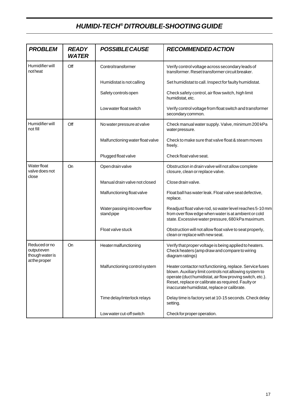# *HUMIDI-TECH® DI TROUBLE-SHOOTING GUIDE*

| <b>PROBLEM</b>                                | <b>READY</b><br><b>WATER</b> | <b>POSSIBLE CAUSE</b>                    | <b>RECOMMENDED ACTION</b>                                                                                                                                                                                                                                                             |
|-----------------------------------------------|------------------------------|------------------------------------------|---------------------------------------------------------------------------------------------------------------------------------------------------------------------------------------------------------------------------------------------------------------------------------------|
| Humidifier will<br>notheat                    | Off                          | Control transformer                      | Verify control voltage across secondary leads of<br>transformer. Reset transformer circuit breaker.                                                                                                                                                                                   |
|                                               |                              | Humidistat is not calling                | Set humidistat to call. Inspect for faulty humidistat.                                                                                                                                                                                                                                |
|                                               |                              | Safety controls open                     | Check safety control, air flow switch, high limit<br>humidistat, etc.                                                                                                                                                                                                                 |
|                                               |                              | Low water float switch                   | Verify control voltage from float switch and transformer<br>secondary common.                                                                                                                                                                                                         |
| Humidifier will<br>not fill                   | Off                          | No water pressure at valve               | Check manual water supply. Valve, minimum 200 kPa<br>water pressure.                                                                                                                                                                                                                  |
|                                               |                              | Malfunctioning water float valve         | Check to make sure that valve float & steam moves<br>freely.                                                                                                                                                                                                                          |
|                                               |                              | Plugged float valve                      | Check float valve seat.                                                                                                                                                                                                                                                               |
| <b>Waterfloat</b><br>valve does not<br>close  | <b>On</b>                    | Open drain valve                         | Obstruction in drain valve will not allow complete<br>closure, clean or replace valve.                                                                                                                                                                                                |
|                                               |                              | Manual drain valve not closed            | Close drain valve.                                                                                                                                                                                                                                                                    |
|                                               |                              | Malfunctioning float valve               | Float ball has water leak. Float valve seat defective,<br>replace.                                                                                                                                                                                                                    |
|                                               |                              | Water passing into overflow<br>standpipe | Readjust float valve rod, so water level reaches 5-10 mm<br>from over flow edge when water is at ambient or cold<br>state. Excessive water pressure, 680 kPa maximum.                                                                                                                 |
|                                               |                              | Float valve stuck                        | Obstruction will not allow float valve to seat properly,<br>clean or replace with new seat.                                                                                                                                                                                           |
| Reducedorno<br>output even<br>though water is | On                           | Heater malfunctioning                    | Verify that proper voltage is being applied to heaters.<br>Check heaters (amp draw and compare to wiring<br>diagram ratings)                                                                                                                                                          |
| at the proper                                 |                              | Malfunctioning control system            | Heater contactor not functioning, replace. Service fuses<br>blown. Auxiliary limit controls not allowing system to<br>operate (duct humidistat, air flow proving switch, etc.).<br>Reset, replace or calibrate as required. Faulty or<br>inaccurate humidistat, replace or calibrate. |
|                                               |                              | Time delay/interlock relays              | Delay time is factory set at 10-15 seconds. Check delay<br>setting.                                                                                                                                                                                                                   |
|                                               |                              | Low water cut-off switch                 | Check for proper operation.                                                                                                                                                                                                                                                           |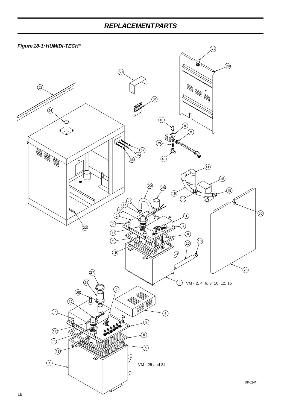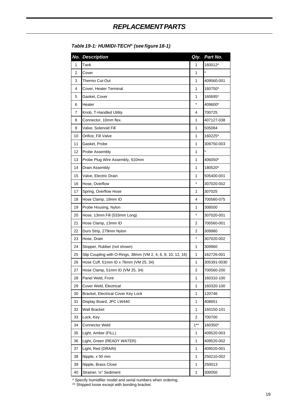|    | No. Description                                              | Qty.           | Part No.    |
|----|--------------------------------------------------------------|----------------|-------------|
| 1  | Tank                                                         | 1              | 160012*     |
| 2  | Cover                                                        | 1              | $\star$     |
| 3  | Thermo Cut-Out                                               | 1              | 409560-001  |
| 4  | Cover, Heater Terminal                                       | 1              | 160750*     |
| 5  | Gasket, Cover                                                | 1              | 160695*     |
| 6  | Heater                                                       | $\star$        | 409600*     |
| 7  | Knob, T-Handled Utility                                      | 4              | 700725      |
| 8  | Connector, 10mm flex.                                        | 1              | 407127-038  |
| 9  | Valve, Solenoid Fill                                         | 1              | 505084      |
| 10 | Orifice, Fill Valve                                          | 1              | 160225*     |
| 11 | Gasket, Probe                                                | 1              | 309750-003  |
| 12 | Probe Assembly                                               | 1              | $\star$     |
| 13 | Probe Plug Wire Assembly, 610mm                              | 1              | 406050*     |
| 14 | Drain Assembly                                               | 1              | 180520*     |
| 15 | Valve, Electric Drain                                        | 1              | 505400-001  |
| 16 | Hose, Overflow                                               | $\star$        | 307020-002  |
| 17 | Spring, Overflow Hose                                        | 1              | 307025      |
| 18 | Hose Clamp, 19mm ID                                          | 4              | 700560-075  |
| 19 | Probe Housing, Nylon                                         | 1              | 308500      |
| 20 | Hose, 13mm Fill (533mm Long)                                 | *              | 307020-001  |
| 21 | Hose Clamp, 13mm ID                                          | 2              | 700560-001  |
| 22 | Duro Strip, 279mm Nylon                                      | 2              | 309980      |
| 23 | Hose, Drain                                                  | $\star$        | 307020-002  |
| 24 | Stopper, Rubber (not shown)                                  | 1              | 309960      |
| 25 | Slip Coupling with O-Rings, 38mm (VM 2, 4, 6, 8, 10, 12, 16) | 1              | 162726-001  |
| 26 | Hose Cuff, 51mm ID x 76mm (VM 25, 34)                        | 1              | 305391-0030 |
| 27 | Hose Clamp, 51mm ID (VM 25, 34)                              | $\overline{2}$ | 700560-200  |
| 28 | Panel Weld, Front                                            | 1              | 160310-100  |
| 29 | Cover Weld, Electrical                                       | 1              | 160320-100  |
| 30 | Bracket, Electrical Cover Key Lock                           | $\mathbf{1}$   | 120746      |
| 31 | Display Board, JPC LW440                                     | 1              | 408651      |
| 32 | Wall Bracket                                                 | 1              | 160150-101  |
| 33 | Lock, Key                                                    | 2              | 700700      |
| 34 | <b>Connector Weld</b>                                        | $1***$         | 160350*     |
| 35 | Light, Amber (FILL)                                          | 1              | 409520-003  |
| 36 | Light, Green (READY WATER)                                   | 1              | 409520-002  |
| 37 | Light, Red (DRAIN)                                           | 1              | 409520-001  |
| 38 | Nipple, x 50 mm                                              | 1              | 250210-002  |
| 39 | Nipple, Brass Close                                          | 1              | 250013      |
| 40 | Strainer, 1/4" Sediment                                      | $\mathbf{1}$   | 300050      |

#### *Table 19-1: HUMIDI-TECH® (see figure 18-1)*

\* Specify humidifier model and serial numbers when ordering.

\*\* Shipped loose except with bonding bracket.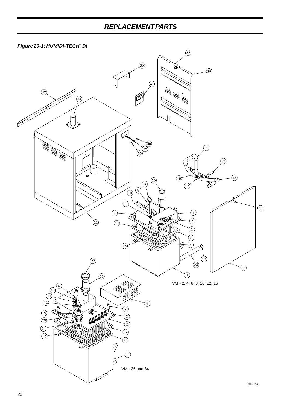



20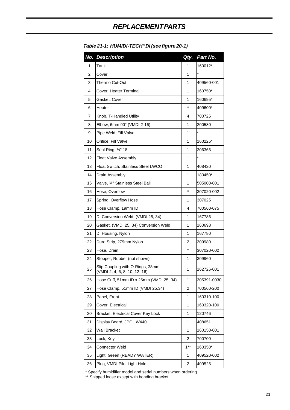| No.            | <b>Description</b>                                                | Qty.         | Part No.    |
|----------------|-------------------------------------------------------------------|--------------|-------------|
| 1              | Tank                                                              | 1            | 160012*     |
| $\overline{2}$ | Cover                                                             | 1            | $\star$     |
| 3              | Thermo Cut-Out                                                    | 1            | 409560-001  |
| 4              | Cover, Heater Terminal                                            | 1            | 160750*     |
| 5              | Gasket, Cover                                                     | 1            | 160695*     |
| 6              | Heater                                                            | $\star$      | 409600*     |
| 7              | Knob, T-Handled Utility                                           | 4            | 700725      |
| 8              | Elbow, 6mm 90° (VMDI 2-16)                                        | 1            | 200580      |
| 9              | Pipe Weld, Fill Valve                                             | 1            | $\star$     |
| 10             | Orifice, Fill Valve                                               | 1            | 160225*     |
| 11             | Seal Ring, 1/4" 18                                                | 1            | 306365      |
| 12             | Float Valve Assembly                                              | 1            | $\star$     |
| 13             | Float Switch, Stainless Steel LWCO                                | 1            | 408420      |
| 14             | Drain Assembly                                                    | 1            | 180450*     |
| 15             | Valve, 34" Stainless Steel Ball                                   | 1            | 505000-001  |
| 16             | Hose, Overflow                                                    | $\star$      | 307020-002  |
| 17             | Spring, Overflow Hose                                             | 1            | 307025      |
| 18             | Hose Clamp, 19mm ID                                               | 4            | 700560-075  |
| 19             | DI Conversion Weld, (VMDI 25, 34)                                 | 1            | 167786      |
| 20             | Gasket, (VMDI 25, 34) Conversion Weld                             | 1            | 160698      |
| 21             | DI Housing, Nylon                                                 | 1            | 167780      |
| 22             | Duro Strip, 279mm Nylon                                           | 2            | 309980      |
| 23             | Hose, Drain                                                       | *            | 307020-002  |
| 24             | Stopper, Rubber (not shown)                                       | 1            | 309960      |
| 25             | Slip Coupling with O-Rings, 38mm<br>(VMDI 2, 4, 6, 8, 10, 12, 16) | 1            | 162726-001  |
| 26             | Hose Cuff, 51mm ID x 26mm (VMDI 25, 34)                           | $\mathbf{1}$ | 305391-0030 |
| 27             | Hose Clamp, 51mm ID (VMDI 25,34)                                  | 2            | 700560-200  |
| 28             | Panel, Front                                                      | 1            | 160310-100  |
| 29             | Cover, Electrical                                                 | 1            | 160320-100  |
| 30             | Bracket, Electrical Cover Key Lock                                | 1            | 120746      |
| 31             | Display Board, JPC LW440                                          | 1            | 408651      |
| 32             | <b>Wall Bracket</b>                                               | 1            | 160150-001  |
| 33             | Lock, Key                                                         | 2            | 700700      |
| 34             | Connector Weld                                                    | $1***$       | 160350*     |
| 35             | Light, Green (READY WATER)                                        | 1            | 409520-002  |
| 36             | Plug, VMDI Pilot Light Hole                                       | 2            | 409525      |

#### *Table 21-1: HUMIDI-TECH® DI (see figure 20-1)*

\* Specify humidifier model and serial numbers when ordering.

\*\* Shipped loose except with bonding bracket.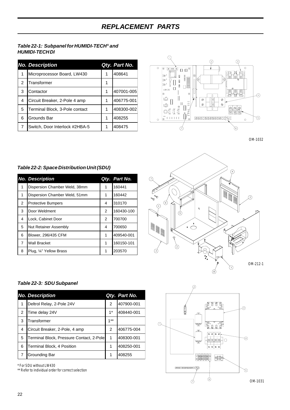#### *Table 22-1: Subpanel for HUMIDI-TECH® and HUMIDI-TECH DI*

|   | <b>No. Description</b>         |   | Qty. Part No. |
|---|--------------------------------|---|---------------|
| 1 | Microprocessor Board, LW430    |   | 408641        |
| 2 | Transformer                    |   |               |
| 3 | Contactor                      | 1 | 407001-005    |
| 4 | Circuit Breaker, 2-Pole 4 amp  | 1 | 406775-001    |
| 5 | Terminal Block, 3-Pole contact | 1 | 408300-002    |
| 6 | Grounds Bar                    | 1 | 408255        |
| 7 | Switch. Door Interlock #2HBA-5 |   | 408475        |



OM-1032

#### *Table 22-2: Space Distribution Unit (SDU)*

|                | <b>No. Description</b>        |   | Qty. Part No. |
|----------------|-------------------------------|---|---------------|
| 1              | Dispersion Chamber Weld, 38mm | 1 | 160441        |
| 1              | Dispersion Chamber Weld, 51mm | 1 | 160442        |
| 2              | <b>Protective Bumpers</b>     | 4 | 310170        |
| 3              | Door Weldment                 | 2 | 160430-100    |
| 4              | Lock, Cabinet Door            | 2 | 700700        |
| 5              | <b>Nut Retainer Assembly</b>  | 4 | 700650        |
| 6              | Blower, 296/435 CFM           | 1 | 409540-001    |
| $\overline{7}$ | <b>Wall Bracket</b>           | 1 | 160150-101    |
| 8              | Plug, 1/4" Yellow Brass       | 1 | 203570        |



#### *Table 22-3: SDU Subpanel*

|               | <b>No. Description</b>                   |        | Qty. Part No. |
|---------------|------------------------------------------|--------|---------------|
| 1             | Deltrol Relay, 2-Pole 24V                | 2      | 407900-001    |
| $\mathcal{P}$ | Time delay 24V                           | $1*$   | 408440-001    |
| 3             | Transformer                              | $1***$ |               |
| 4             | Circuit Breaker, 2-Pole, 4 amp           | 2      | 406775-004    |
| 5             | Terminal Block, Pressure Contact, 2-Pole | 1      | 408300-001    |
| 6             | Terminal Block, 4 Position               | 1      | 408250-001    |
|               | Grounding Bar                            | 1      | 408255        |

\* For SDU without LW430

\*\* Refer to individual order for correct selection

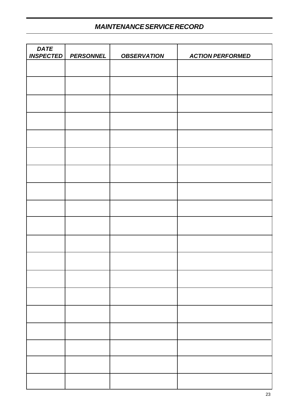# *MAINTENANCE SERVICE RECORD*

| <b>DATE</b><br><b>INSPECTED</b> | <b>PERSONNEL</b> | <b>OBSERVATION</b> | <b>ACTION PERFORMED</b> |
|---------------------------------|------------------|--------------------|-------------------------|
|                                 |                  |                    |                         |
|                                 |                  |                    |                         |
|                                 |                  |                    |                         |
|                                 |                  |                    |                         |
|                                 |                  |                    |                         |
|                                 |                  |                    |                         |
|                                 |                  |                    |                         |
|                                 |                  |                    |                         |
|                                 |                  |                    |                         |
|                                 |                  |                    |                         |
|                                 |                  |                    |                         |
|                                 |                  |                    |                         |
|                                 |                  |                    |                         |
|                                 |                  |                    |                         |
|                                 |                  |                    |                         |
|                                 |                  |                    |                         |
|                                 |                  |                    |                         |
|                                 |                  |                    |                         |
|                                 |                  |                    |                         |